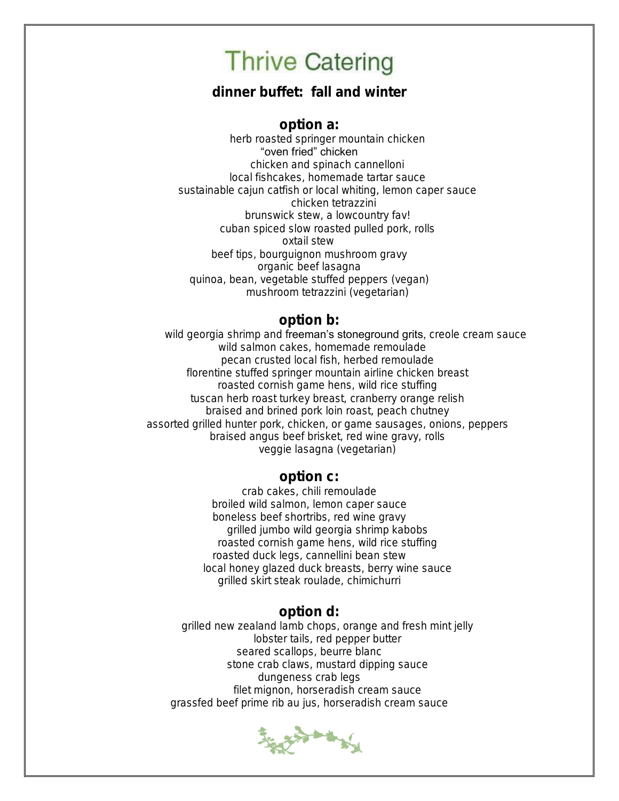dinner buffet: fall and winter

option a: herb roasted springer mountain chicken "oven fried" chicken chicken and spinach cannelloni local fishcakes, homemade tartar sauce sustainable cajun catfish or local whiting, lemon caper sauce chicken tetrazzini brunswick stew, a lowcountry fav! cuban spiced slow roasted pulled pork, rolls oxtail stew beef tips, bourguignon mushroom gravy organic beef lasagna quinoa, bean, vegetable stuffed peppers (vegan) mushroom tetrazzini (vegetarian)

### option b:

wild georgia shrimp and freeman's stoneground grits, creole cream sauce wild salmon cakes, homemade remoulade pecan crusted local fish, herbed remoulade florentine stuffed springer mountain airline chicken breast roasted cornish game hens, wild rice stuffing tuscan herb roast turkey breast, cranberry orange relish braised and brined pork loin roast, peach chutney assorted grilled hunter pork, chicken, or game sausages, onions, peppers braised angus beef brisket, red wine gravy, rolls veggie lasagna (vegetarian)

### option c:

crab cakes, chili remoulade broiled wild salmon, lemon caper sauce boneless beef shortribs, red wine gravy grilled jumbo wild georgia shrimp kabobs roasted cornish game hens, wild rice stuffing roasted duck legs, cannellini bean stew local honey glazed duck breasts, berry wine sauce grilled skirt steak roulade, chimichurri

#### option d:

grilled new zealand lamb chops, orange and fresh mint jelly lobster tails, red pepper butter seared scallops, beurre blanc stone crab claws, mustard dipping sauce dungeness crab legs filet mignon, horseradish cream sauce grassfed beef prime rib au jus, horseradish cream sauce

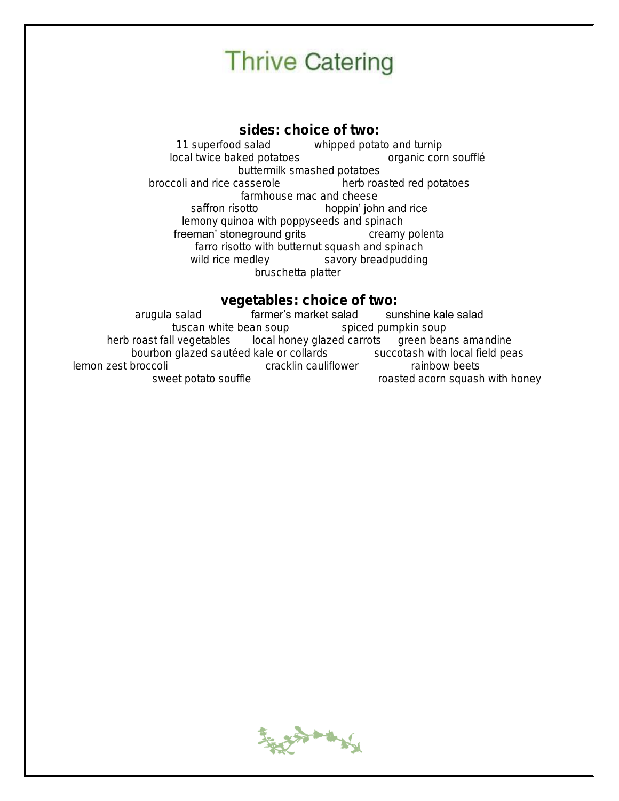sides: choice of two: 11 superfood salad whipped potato and turnip local twice baked potatoes organic corn soufflé buttermilk smashed potatoes broccoli and rice casserole herb roasted red potatoes farmhouse mac and cheese saffron risotto **hoppin' john and rice** lemony quinoa with poppyseeds and spinach freeman' stoneground grits creamy polenta farro risotto with butternut squash and spinach wild rice medley savory breadpudding bruschetta platter

#### vegetables: choice of two:

arugula salad farmer's market salad sunshine kale salad tuscan white bean soup spiced pumpkin soup herb roast fall vegetables local honey glazed carrots green beans amandine bourbon glazed sautéed kale or collards succotash with local field peas lemon zest broccoli cracklin cauliflower rainbow beets sweet potato souffle roasted acorn squash with honey

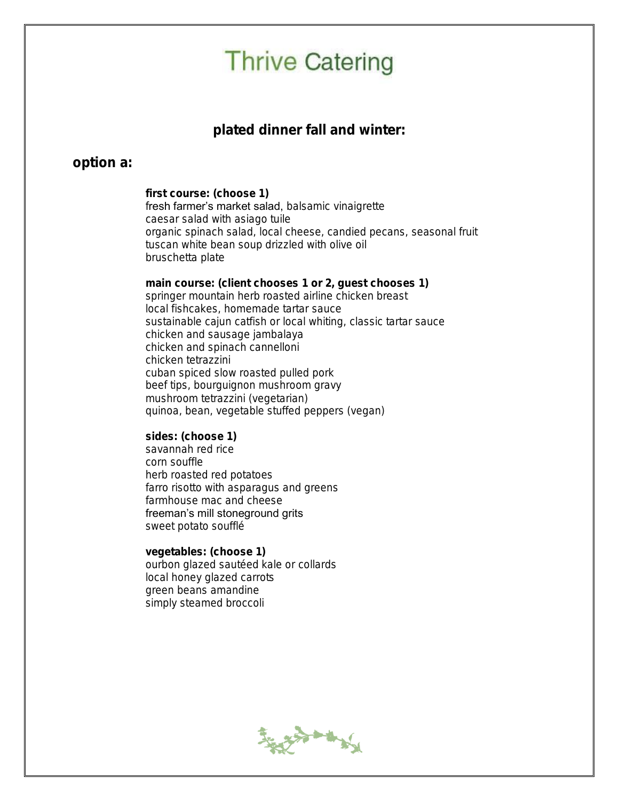### plated dinner fall and winter:

### option a:

first course: (choose 1) fresh farmer's market salad, balsamic vinaigrette caesar salad with asiago tuile organic spinach salad, local cheese, candied pecans, seasonal fruit tuscan white bean soup drizzled with olive oil bruschetta plate

main course: (client chooses 1 or 2, guest chooses 1) springer mountain herb roasted airline chicken breast local fishcakes, homemade tartar sauce sustainable cajun catfish or local whiting, classic tartar sauce chicken and sausage jambalaya chicken and spinach cannelloni chicken tetrazzini cuban spiced slow roasted pulled pork beef tips, bourguignon mushroom gravy mushroom tetrazzini (vegetarian) quinoa, bean, vegetable stuffed peppers (vegan)

sides: (choose 1) savannah red rice corn souffle herb roasted red potatoes farro risotto with asparagus and greens farmhouse mac and cheese freeman's mill stoneground grits sweet potato soufflé

vegetables: (choose 1) ourbon glazed sautéed kale or collards local honey glazed carrots green beans amandine simply steamed broccoli

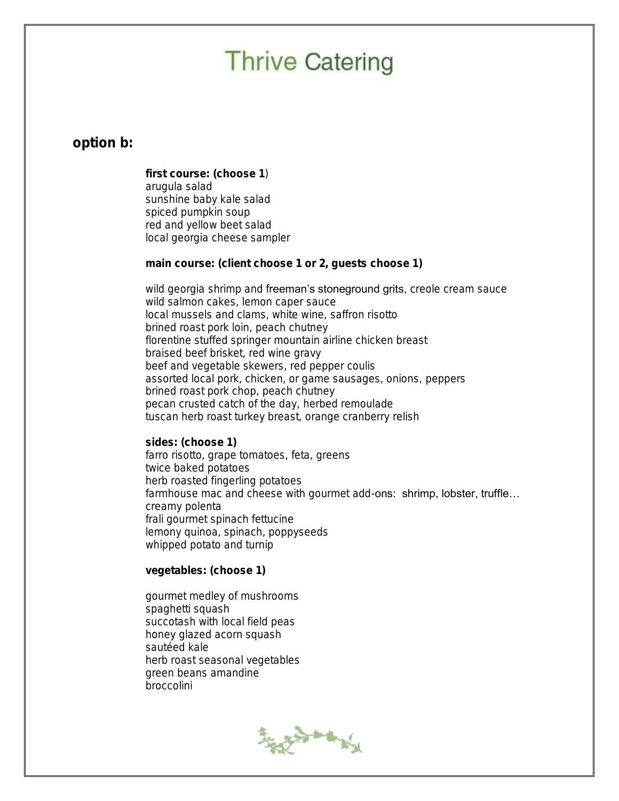### option b:

first course: (choose 1) arugula salad sunshine baby kale salad spiced pumpkin soup red and yellow beet salad local georgia cheese sampler

main course: (client choose 1 or 2, guests choose 1)

wild georgia shrimp and freeman's stoneground grits, creole cream sauce wild salmon cakes, lemon caper sauce local mussels and clams, white wine, saffron risotto brined roast pork loin, peach chutney florentine stuffed springer mountain airline chicken breast braised beef brisket, red wine gravy beef and vegetable skewers, red pepper coulis assorted local pork, chicken, or game sausages, onions, peppers brined roast pork chop, peach chutney pecan crusted catch of the day, herbed remoulade tuscan herb roast turkey breast, orange cranberry relish

sides: (choose 1) farro risotto, grape tomatoes, feta, greens twice baked potatoes herb roasted fingerling potatoes farmhouse mac and cheese with gourmet add-ons: shrimp, lobster, truffle... creamy polenta frali gourmet spinach fettucine lemony quinoa, spinach, poppyseeds whipped potato and turnip

vegetables: (choose 1)

gourmet medley of mushrooms spaghetti squash succotash with local field peas honey glazed acorn squash sautéed kale herb roast seasonal vegetables green beans amandine broccolini

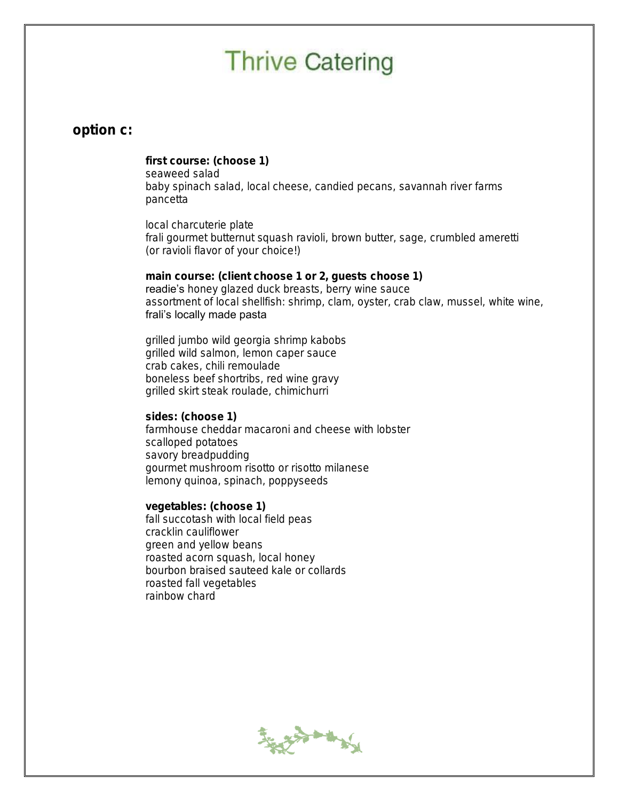#### option c:

first course: (choose 1) seaweed salad baby spinach salad, local cheese, candied pecans, savannah river farms pancetta

local charcuterie plate frali gourmet butternut squash ravioli, brown butter, sage, crumbled ameretti (or ravioli flavor of your choice!)

main course: (client choose 1 or 2, guests choose 1) readie's honey glazed duck breasts, berry wine sauce assortment of local shellfish: shrimp, clam, oyster, crab claw, mussel, white wine, frali's locally made pasta

grilled jumbo wild georgia shrimp kabobs grilled wild salmon, lemon caper sauce crab cakes, chili remoulade boneless beef shortribs, red wine gravy grilled skirt steak roulade, chimichurri

sides: (choose 1) farmhouse cheddar macaroni and cheese with lobster scalloped potatoes savory breadpudding gourmet mushroom risotto or risotto milanese lemony quinoa, spinach, poppyseeds

vegetables: (choose 1) fall succotash with local field peas cracklin cauliflower green and yellow beans roasted acorn squash, local honey bourbon braised sauteed kale or collards roasted fall vegetables rainbow chard